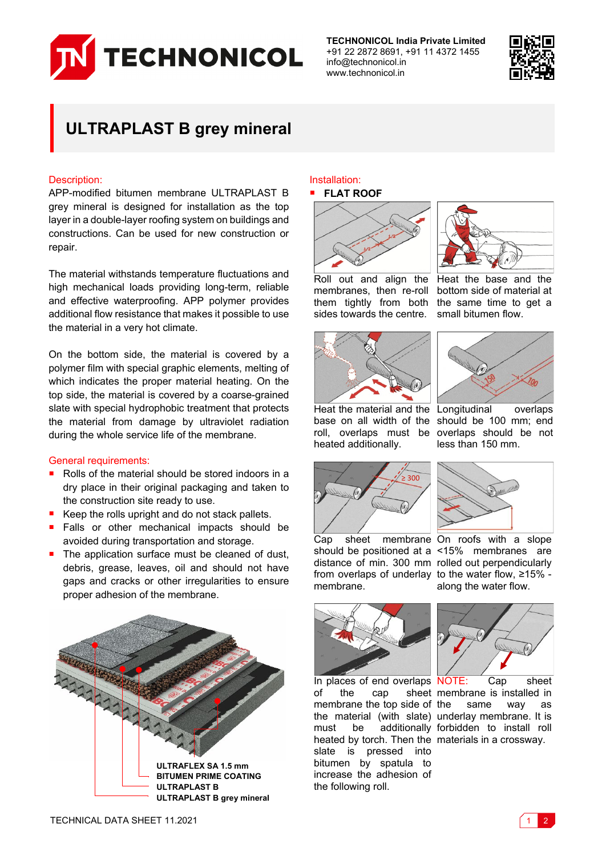

**TECHNONICOL India Private Limited** +91 22 2872 8691, +91 11 4372 1455 info@technonicol.in www.technonicol.in



# **ULTRAPLAST B grey mineral**

# Description:

APP-modified bitumen membrane ULTRAPLAST B grey mineral is designed for installation as the top layer in a double-layer roofing system on buildings and constructions. Can be used for new construction or repair.

The material withstands temperature fluctuations and high mechanical loads providing long-term, reliable and effective waterproofing. APP polymer provides additional flow resistance that makes it possible to use the material in a very hot climate.

On the bottom side, the material is covered by a polymer film with special graphic elements, melting of which indicates the proper material heating. On the top side, the material is covered by a coarse-grained slate with special hydrophobic treatment that protects the material from damage by ultraviolet radiation during the whole service life of the membrane.

### General requirements:

- Rolls of the material should be stored indoors in a dry place in their original packaging and taken to the construction site ready to use.
- Keep the rolls upright and do not stack pallets.
- **Falls or other mechanical impacts should be** avoided during transportation and storage.
- $\blacksquare$  The application surface must be cleaned of dust, debris, grease, leaves, oil and should not have gaps and cracks or other irregularities to ensure proper adhesion of the membrane.



#### Installation: **FLAT ROOF**





Roll out and align the membranes, then re-roll them tightly from both sides towards the centre. bottom side of material at the same time to get a small bitumen flow.





Heat the material and the Longitudinal overlaps base on all width of the should be 100 mm; end roll, overlaps must be heated additionally.







along the water flow.

Cap sheet membrane On roofs with a slope should be positioned at a <15% membranes are distance of min. 300 mm rolled out perpendicularly from overlaps of underlay to the water flow, ≥15% membrane.



In places of end overlaps NOTE: Cap sheet of the cap sheet membrane is installed in membrane the top side of the material (with slate) underlay membrane. It is must be additionally forbidden to install roll heated by torch. Then the materials in a crossway. slate is pressed into bitumen by spatula to increase the adhesion of the following roll.



same way as